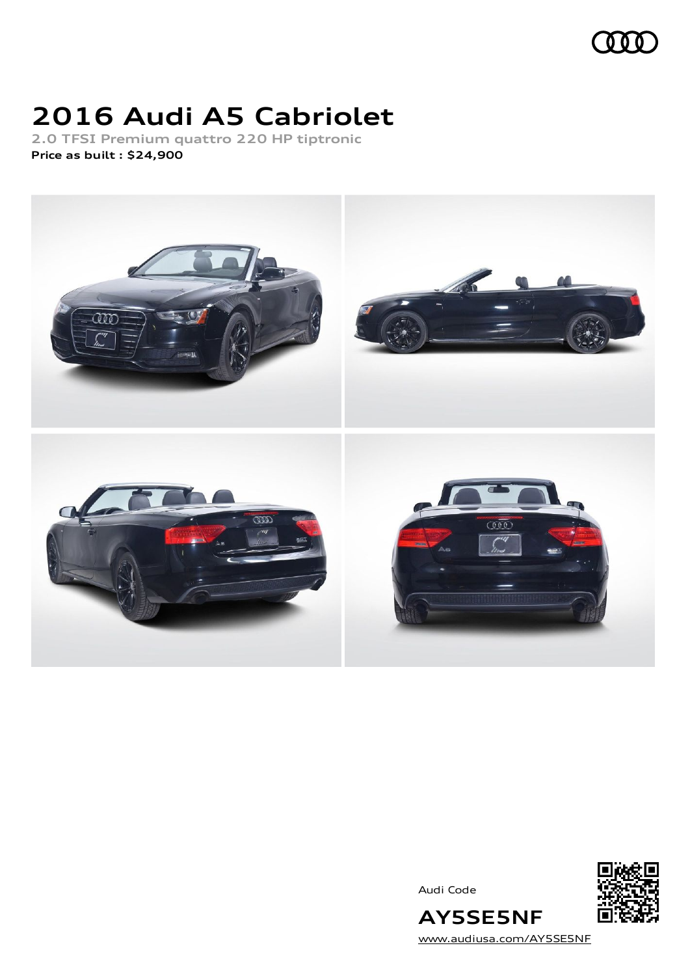

# **2016 Audi A5 Cabriolet**

**2.0 TFSI Premium quattro 220 HP tiptronic Price as built [:](#page-8-0) \$24,900**



Audi Code



[www.audiusa.com/AY5SE5NF](https://www.audiusa.com/AY5SE5NF)

**AY5SE5NF**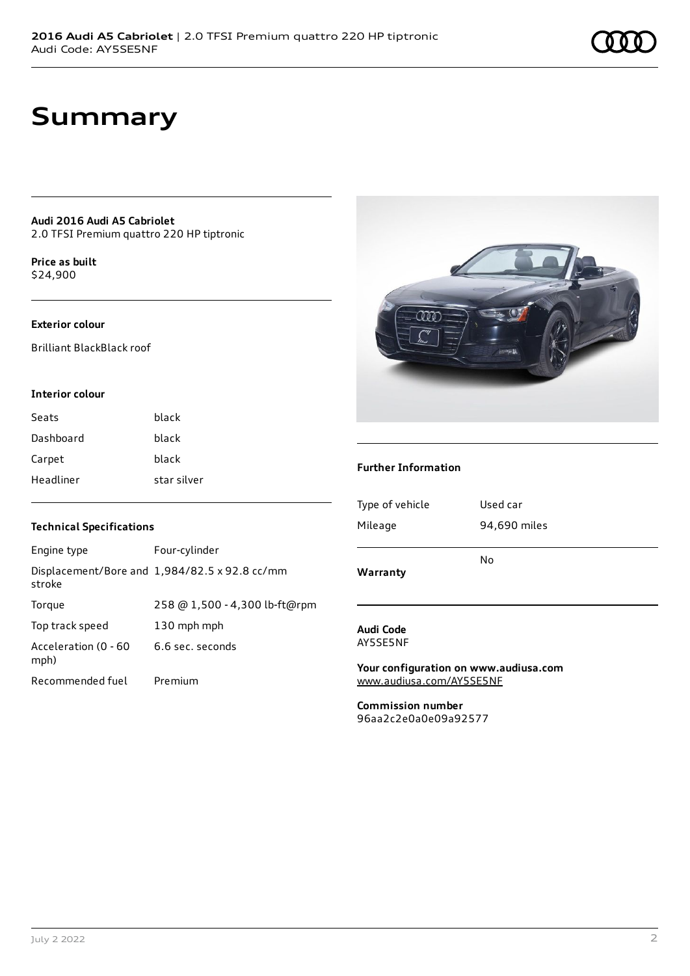### **Summary**

**Audi 2016 Audi A5 Cabriolet** 2.0 TFSI Premium quattro 220 HP tiptronic

**Price as buil[t](#page-8-0)** \$24,900

#### **Exterior colour**

Brilliant BlackBlack roof

#### **Interior colour**

| Seats     | hlack       |
|-----------|-------------|
| Dashboard | black       |
| Carpet    | black       |
| Headliner | star silver |

#### **Technical Specifications**

| Engine type                  | Four-cylinder                                 |
|------------------------------|-----------------------------------------------|
| stroke                       | Displacement/Bore and 1,984/82.5 x 92.8 cc/mm |
| Torque                       | 258 @ 1,500 - 4,300 lb-ft@rpm                 |
| Top track speed              | 130 mph mph                                   |
| Acceleration (0 - 60<br>mph) | 6.6 sec. seconds                              |
| Recommended fuel             | Premium                                       |



#### **Further Information**

| Warranty        |              |
|-----------------|--------------|
|                 | No           |
| Mileage         | 94,690 miles |
| Type of vehicle | Used car     |
|                 |              |

#### **Audi Code** AY5SE5NF

**Your configuration on www.audiusa.com** [www.audiusa.com/AY5SE5NF](https://www.audiusa.com/AY5SE5NF)

**Commission number** 96aa2c2e0a0e09a92577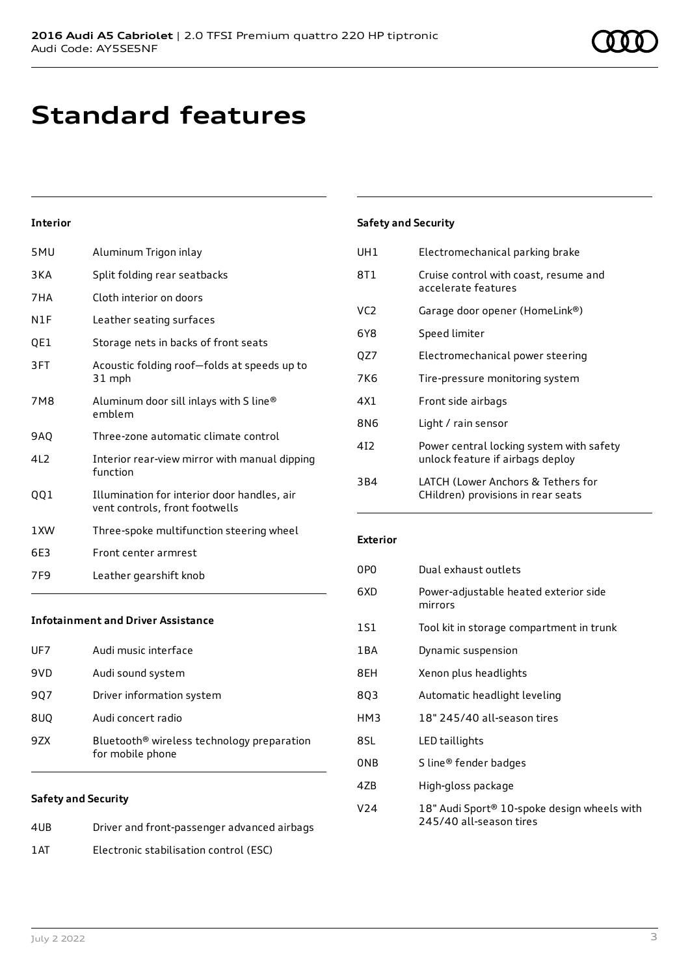## **Standard features**

#### **Interior**

| 5MU             | Aluminum Trigon inlay                                                         |
|-----------------|-------------------------------------------------------------------------------|
| 3KA             | Split folding rear seatbacks                                                  |
| 7HA             | Cloth interior on doors                                                       |
| N1F             | Leather seating surfaces                                                      |
| QE1             | Storage nets in backs of front seats                                          |
| 3FT             | Acoustic folding roof-folds at speeds up to<br>31 mph                         |
| 7M8             | Aluminum door sill inlays with S line®<br>emblem                              |
| <b>9AO</b>      | Three-zone automatic climate control                                          |
| 412             | Interior rear-view mirror with manual dipping<br>function                     |
| QQ1             | Illumination for interior door handles, air<br>vent controls, front footwells |
| 1 XW            | Three-spoke multifunction steering wheel                                      |
| 6E3             | Front center armrest                                                          |
|                 |                                                                               |
| 7F <sub>9</sub> | Leather gearshift knob                                                        |

### UH1 Electromechanical parking brake 8T1 Cruise control with coast, resume and accelerate features VC2 Garage door opener (HomeLink®) 6Y8 Speed limiter QZ7 Electromechanical power steering 7K6 Tire-pressure monitoring system 4X1 Front side airbags 8N6 Light / rain sensor 4I2 Power central locking system with safety unlock feature if airbags deploy

| 3B4 | LATCH (Lower Anchors & Tethers for |
|-----|------------------------------------|
|     | CHildren) provisions in rear seats |

#### **Exterior**

**Safety and Security**

| 0P <sub>0</sub> | Dual exhaust outlets                                                   |
|-----------------|------------------------------------------------------------------------|
| 6XD             | Power-adjustable heated exterior side<br>mirrors                       |
| 1S1             | Tool kit in storage compartment in trunk                               |
| 1BA             | Dynamic suspension                                                     |
| 8EH             | Xenon plus headlights                                                  |
| 8Q3             | Automatic headlight leveling                                           |
| HM3             | 18" 245/40 all-season tires                                            |
| 8SL             | LED taillights                                                         |
| 0NB             | S line® fender badges                                                  |
| 4ZB             | High-gloss package                                                     |
| V <sub>24</sub> | 18" Audi Sport® 10-spoke design wheels with<br>245/40 all-season tires |

#### **Infotainment and Driver Assistance**

| UF7 | Audi music interface                                                       |
|-----|----------------------------------------------------------------------------|
| 9VD | Audi sound system                                                          |
| 907 | Driver information system                                                  |
| 8UQ | Audi concert radio                                                         |
| 97X | Bluetooth <sup>®</sup> wireless technology preparation<br>for mobile phone |

#### **Safety and Security**

| 4UB | Driver and front-passenger advanced airbags |
|-----|---------------------------------------------|
| 1AT | Electronic stabilisation control (ESC)      |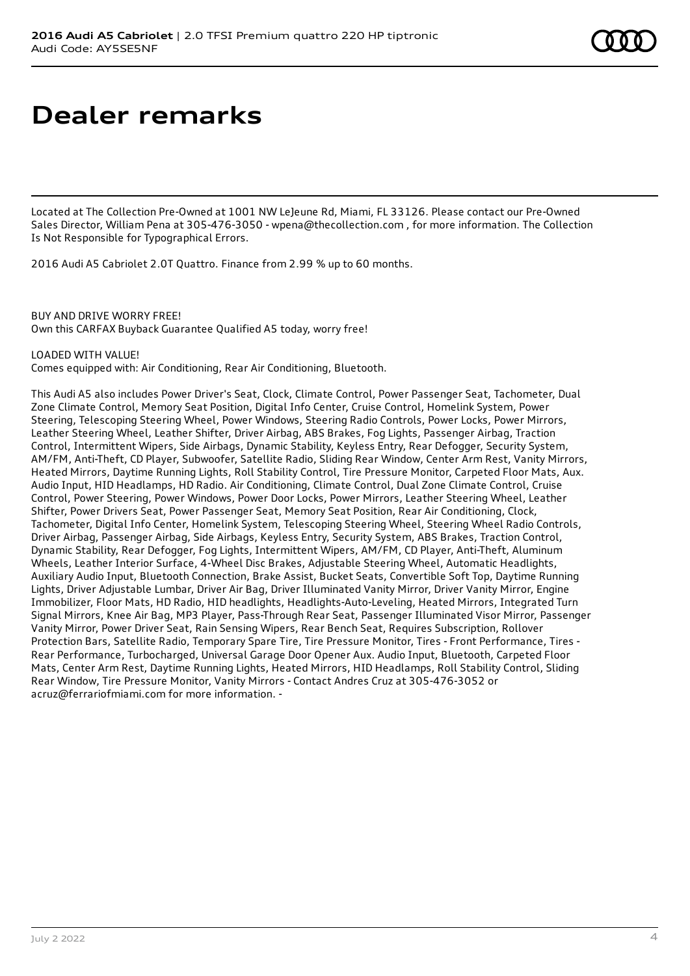# **Dealer remarks**

Located at The Collection Pre-Owned at 1001 NW LeJeune Rd, Miami, FL 33126. Please contact our Pre-Owned Sales Director, William Pena at 305-476-3050 - wpena@thecollection.com , for more information. The Collection Is Not Responsible for Typographical Errors.

2016 Audi A5 Cabriolet 2.0T Quattro. Finance from 2.99 % up to 60 months.

#### BUY AND DRIVE WORRY FREE!

Own this CARFAX Buyback Guarantee Qualified A5 today, worry free!

#### LOADED WITH VALUE!

Comes equipped with: Air Conditioning, Rear Air Conditioning, Bluetooth.

This Audi A5 also includes Power Driver's Seat, Clock, Climate Control, Power Passenger Seat, Tachometer, Dual Zone Climate Control, Memory Seat Position, Digital Info Center, Cruise Control, Homelink System, Power Steering, Telescoping Steering Wheel, Power Windows, Steering Radio Controls, Power Locks, Power Mirrors, Leather Steering Wheel, Leather Shifter, Driver Airbag, ABS Brakes, Fog Lights, Passenger Airbag, Traction Control, Intermittent Wipers, Side Airbags, Dynamic Stability, Keyless Entry, Rear Defogger, Security System, AM/FM, Anti-Theft, CD Player, Subwoofer, Satellite Radio, Sliding Rear Window, Center Arm Rest, Vanity Mirrors, Heated Mirrors, Daytime Running Lights, Roll Stability Control, Tire Pressure Monitor, Carpeted Floor Mats, Aux. Audio Input, HID Headlamps, HD Radio. Air Conditioning, Climate Control, Dual Zone Climate Control, Cruise Control, Power Steering, Power Windows, Power Door Locks, Power Mirrors, Leather Steering Wheel, Leather Shifter, Power Drivers Seat, Power Passenger Seat, Memory Seat Position, Rear Air Conditioning, Clock, Tachometer, Digital Info Center, Homelink System, Telescoping Steering Wheel, Steering Wheel Radio Controls, Driver Airbag, Passenger Airbag, Side Airbags, Keyless Entry, Security System, ABS Brakes, Traction Control, Dynamic Stability, Rear Defogger, Fog Lights, Intermittent Wipers, AM/FM, CD Player, Anti-Theft, Aluminum Wheels, Leather Interior Surface, 4-Wheel Disc Brakes, Adjustable Steering Wheel, Automatic Headlights, Auxiliary Audio Input, Bluetooth Connection, Brake Assist, Bucket Seats, Convertible Soft Top, Daytime Running Lights, Driver Adjustable Lumbar, Driver Air Bag, Driver Illuminated Vanity Mirror, Driver Vanity Mirror, Engine Immobilizer, Floor Mats, HD Radio, HID headlights, Headlights-Auto-Leveling, Heated Mirrors, Integrated Turn Signal Mirrors, Knee Air Bag, MP3 Player, Pass-Through Rear Seat, Passenger Illuminated Visor Mirror, Passenger Vanity Mirror, Power Driver Seat, Rain Sensing Wipers, Rear Bench Seat, Requires Subscription, Rollover Protection Bars, Satellite Radio, Temporary Spare Tire, Tire Pressure Monitor, Tires - Front Performance, Tires - Rear Performance, Turbocharged, Universal Garage Door Opener Aux. Audio Input, Bluetooth, Carpeted Floor Mats, Center Arm Rest, Daytime Running Lights, Heated Mirrors, HID Headlamps, Roll Stability Control, Sliding Rear Window, Tire Pressure Monitor, Vanity Mirrors - Contact Andres Cruz at 305-476-3052 or acruz@ferrariofmiami.com for more information. -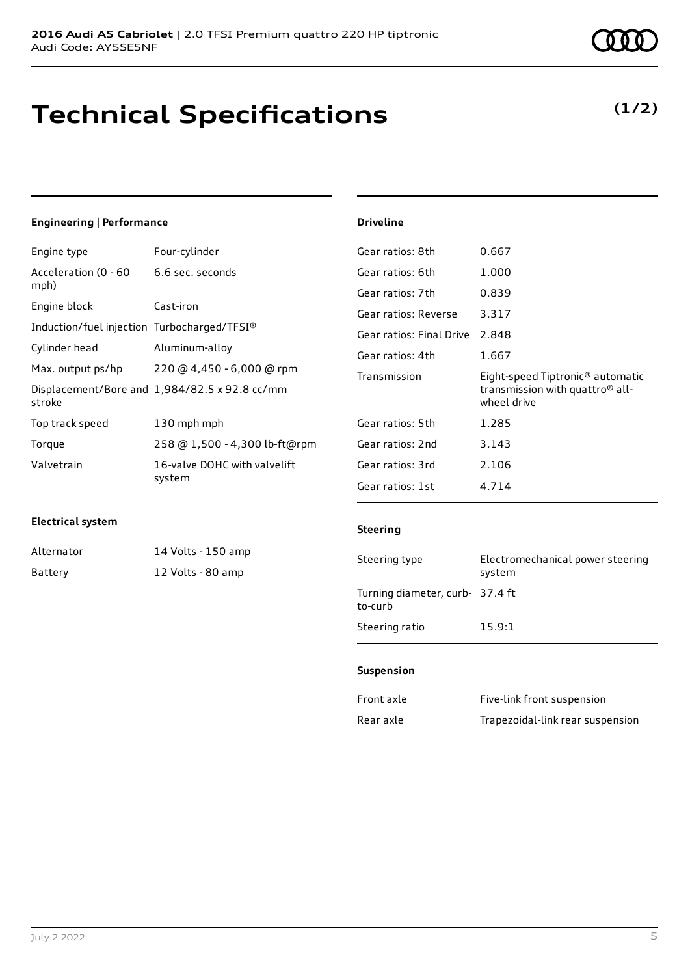### **Technical Specifications**

**(1/2)**

#### **Engineering | Performance** Engine type Four-cylinder Acceleration (0 - 60 mph) 6.6 sec. seconds Engine block Cast-iron Induction/fuel injection Turbocharged/TFSI® Cylinder head Aluminum-alloy Max. output ps/hp 220 @ 4,450 - 6,000 @ rpm Displacement/Bore and 1,984/82.5 x 92.8 cc/mm stroke Top track speed 130 mph mph Torque 258 @ 1,500 - 4,300 lb-ft@rpm Valvetrain 16-valve DOHC with valvelift system **Driveline** Gear ratios: 8th 0.667 Gear ratios: 6th 1.000 Gear ratios: 7th 0.839 Gear ratios: Reverse 3.317 Gear ratios: Final Drive 2.848 Gear ratios: 4th 1.667 Transmission Eight-speed Tiptronic® automatic transmission with quattro® allwheel drive Gear ratios: 5th 1.285 Gear ratios: 2nd 3.143 Gear ratios: 3rd 2.106 Gear ratios: 1st 4.714

#### **Electrical system**

Alternator 14 Volts - 150 amp Battery 12 Volts - 80 amp

#### **Steering**

| Steering type                              | Electromechanical power steering<br>system |
|--------------------------------------------|--------------------------------------------|
| Turning diameter, curb- 37.4 ft<br>to-curb |                                            |
| Steering ratio                             | 15.9:1                                     |

#### **Suspension**

| Front axle | Five-link front suspension       |
|------------|----------------------------------|
| Rear axle  | Trapezoidal-link rear suspension |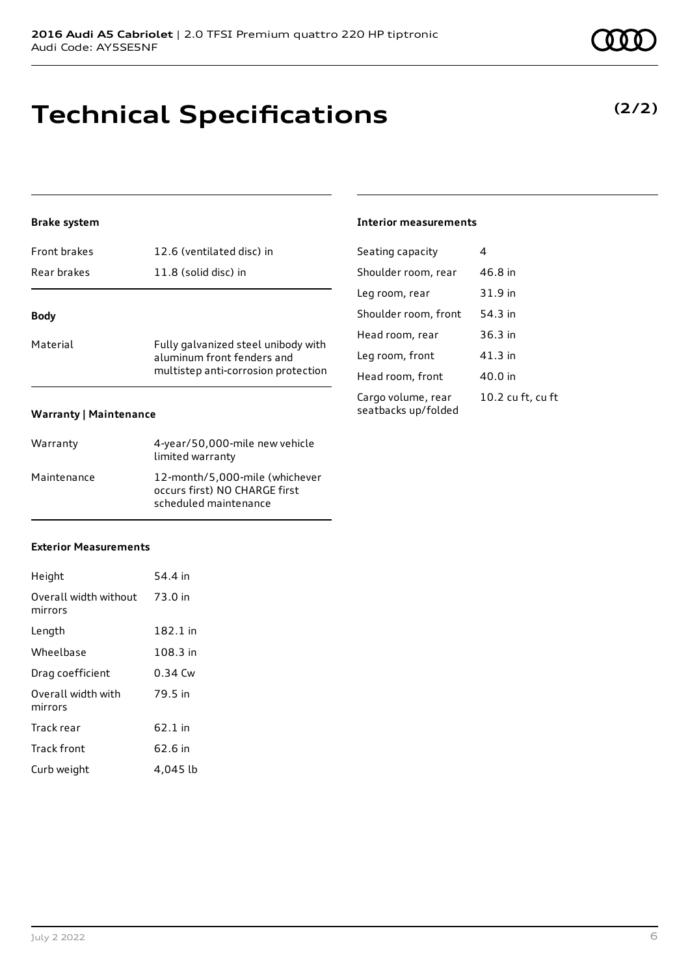### **Technical Specifications**

#### **Brake system**

| <b>Front brakes</b>           | 12.6 (ventilated disc) in                                                                                |
|-------------------------------|----------------------------------------------------------------------------------------------------------|
| Rear brakes                   | 11.8 (solid disc) in                                                                                     |
| <b>Body</b>                   |                                                                                                          |
| Material                      | Fully galvanized steel unibody with<br>aluminum front fenders and<br>multistep anti-corrosion protection |
| <b>Warranty   Maintenance</b> |                                                                                                          |

| Warranty    | 4-year/50,000-mile new vehicle<br>limited warranty                                       |
|-------------|------------------------------------------------------------------------------------------|
| Maintenance | 12-month/5,000-mile (whichever<br>occurs first) NO CHARGE first<br>scheduled maintenance |

#### **Interior measurements**

| Seating capacity                          | 4                 |
|-------------------------------------------|-------------------|
| Shoulder room, rear                       | 46.8 in           |
| Leg room, rear                            | 31.9 in           |
| Shoulder room, front                      | 54.3 in           |
| Head room, rear                           | 36.3 in           |
| Leg room, front                           | $41.3$ in         |
| Head room, front                          | 40.0 in           |
| Cargo volume, rear<br>seatbacks up/folded | 10.2 cu ft, cu ft |

#### **Exterior Measurements**

| Height                           | 54.4 in   |
|----------------------------------|-----------|
| Overall width without<br>mirrors | 73.0 in   |
| Length                           | 182.1 in  |
| Wheelbase                        | 108.3 in  |
| Drag coefficient                 | $0.34$ Cw |
| Overall width with<br>mirrors    | 79.5 in   |
| Track rear                       | 62.1 in   |
| <b>Track front</b>               | 62.6 in   |
| Curb weight                      | 4.045 lb  |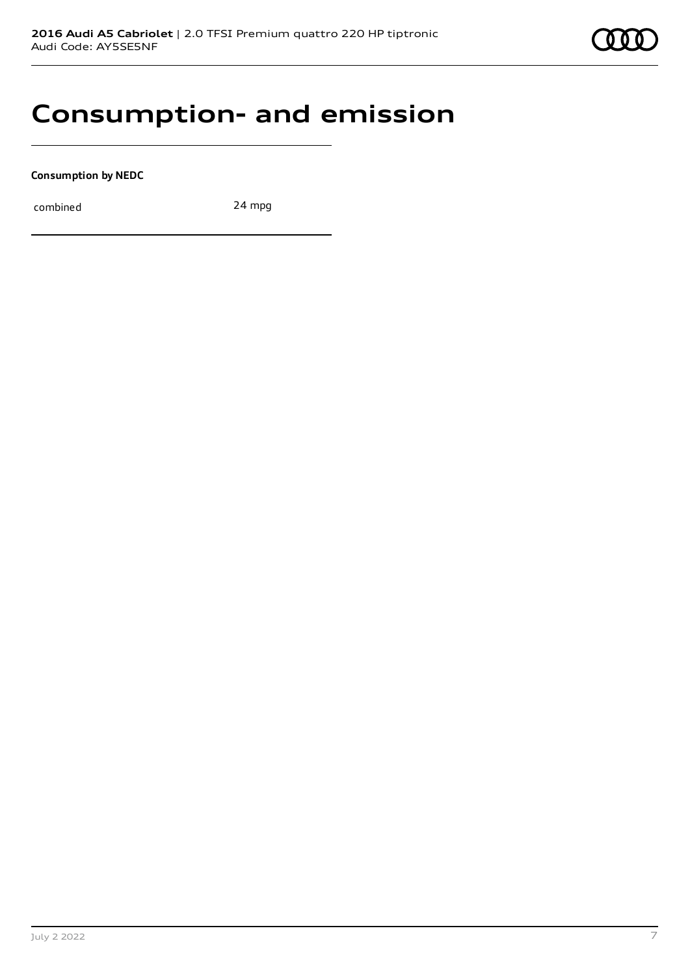

### **Consumption- and emission**

**Consumption by NEDC**

combined 24 mpg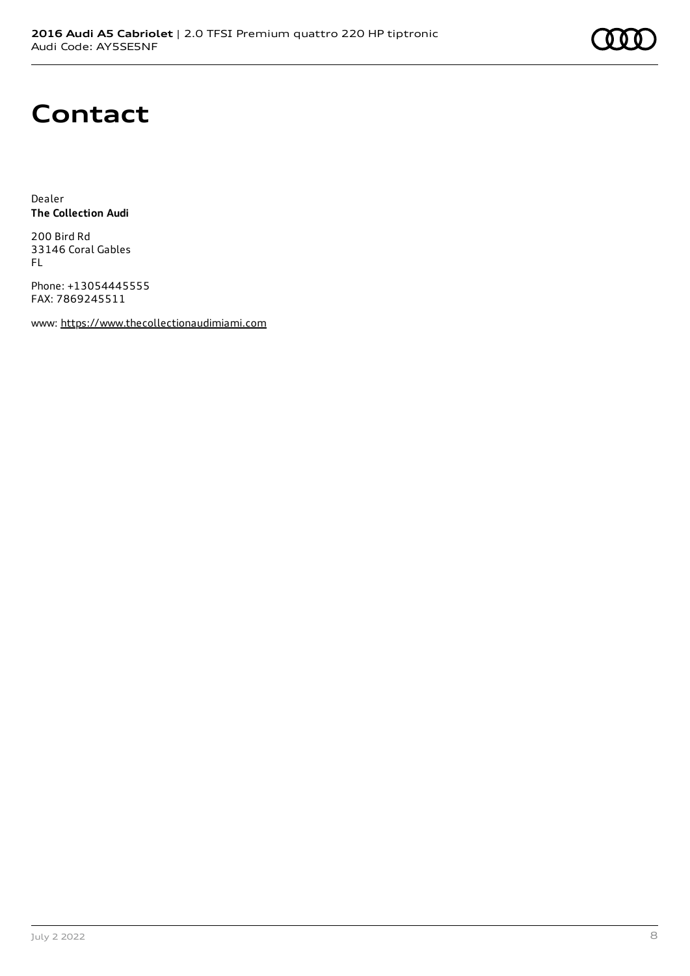# **Contact**

Dealer **The Collection Audi**

200 Bird Rd 33146 Coral Gables FL

Phone: +13054445555 FAX: 7869245511

www: [https://www.thecollectionaudimiami.com](https://www.thecollectionaudimiami.com/)